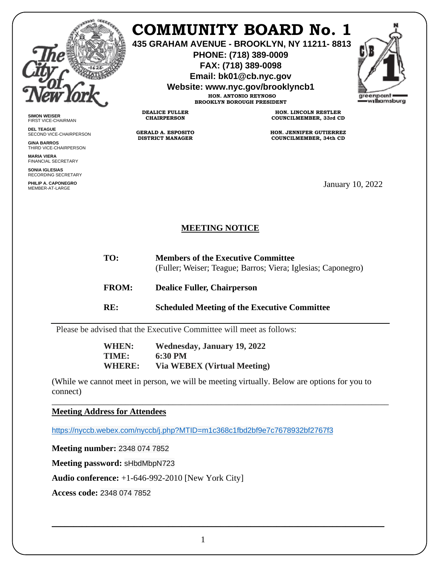

**SIMON WEISER** FIRST VICE-CHAIRMAN **DEL TEAGUE**

**GINA BARROS** THIRD VICE-CHAIRPERSON

**MARIA VIERA** FINANCIAL SECRETARY **SONIA IGLESIAS** RECORDING SECRETARY **PHILIP A. CAPONEGRO**

SECOND VICE-CHAIRPERSON

## **COMMUNITY BOARD No. 1**

**435 GRAHAM AVENUE - BROOKLYN, NY 11211- 8813**

**PHONE: (718) 389-0009 FAX: (718) 389-0098**

**Email: bk01@cb.nyc.gov**

**Website: www.nyc.gov/brooklyncb1**

**HON. ANTONIO REYNOSO BROOKLYN BOROUGH PRESIDENT**

**DEALICE FULLER CHAIRPERSON**

**GERALD A. ESPOSITO DISTRICT MANAGER**

**HON. LINCOLN RESTLER COUNCILMEMBER, 33rd CD**

**HON. JENNIFER GUTIERREZ COUNCILMEMBER, 34th CD**

January 10, 2022

## **MEETING NOTICE**

- **TO: Members of the Executive Committee** (Fuller; Weiser; Teague; Barros; Viera; Iglesias; Caponegro)
- **FROM: Dealice Fuller, Chairperson**
- **RE: Scheduled Meeting of the Executive Committee**

Please be advised that the Executive Committee will meet as follows:

**WHEN: Wednesday, January 19, 2022 TIME: 6:30 PM WHERE: Via WEBEX (Virtual Meeting)**

(While we cannot meet in person, we will be meeting virtually. Below are options for you to connect)

\_\_\_\_\_\_\_\_\_\_\_\_\_\_\_\_\_\_\_\_\_\_\_\_\_\_\_\_\_\_\_\_\_\_\_\_\_\_\_\_\_\_\_\_\_\_\_\_\_\_\_\_\_\_\_\_\_\_\_\_\_\_\_\_\_\_\_\_\_\_\_\_\_\_\_\_\_\_

**Meeting Address for Attendees** 

<https://nyccb.webex.com/nyccb/j.php?MTID=m1c368c1fbd2bf9e7c7678932bf2767f3>

**Meeting number:** 2348 074 7852

**Meeting password:** sHbdMbpN723

**Audio conference:** +1-646-992-2010 [New York City]

**Access code:** 2348 074 7852

\_\_\_\_\_\_\_\_\_\_\_\_\_\_\_\_\_\_\_\_\_\_\_\_\_\_\_\_\_\_\_\_\_\_\_\_\_\_\_\_\_\_\_\_\_\_\_\_\_\_\_\_\_\_\_\_\_\_\_\_\_\_\_\_\_\_\_\_\_\_\_\_\_\_\_\_\_